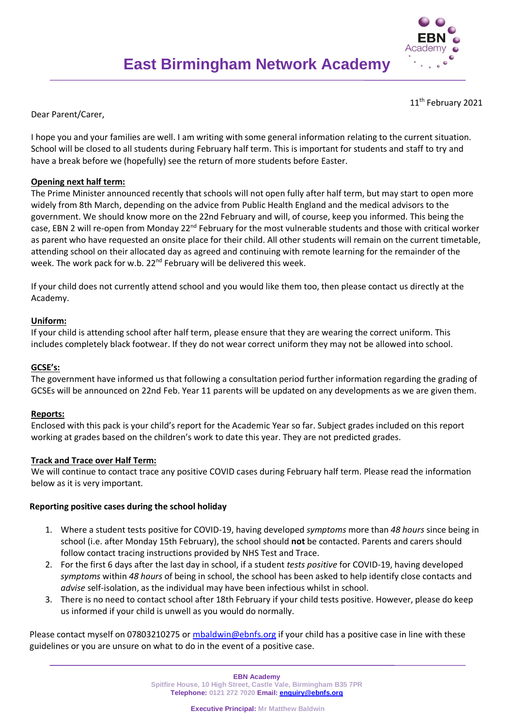

11<sup>th</sup> February 2021

Dear Parent/Carer,

I hope you and your families are well. I am writing with some general information relating to the current situation. School will be closed to all students during February half term. This is important for students and staff to try and have a break before we (hopefully) see the return of more students before Easter.

# **Opening next half term:**

The Prime Minister announced recently that schools will not open fully after half term, but may start to open more widely from 8th March, depending on the advice from Public Health England and the medical advisors to the government. We should know more on the 22nd February and will, of course, keep you informed. This being the case, EBN 2 will re-open from Monday  $22^{nd}$  February for the most vulnerable students and those with critical worker as parent who have requested an onsite place for their child. All other students will remain on the current timetable, attending school on their allocated day as agreed and continuing with remote learning for the remainder of the week. The work pack for w.b. 22<sup>nd</sup> February will be delivered this week.

If your child does not currently attend school and you would like them too, then please contact us directly at the Academy.

## **Uniform:**

If your child is attending school after half term, please ensure that they are wearing the correct uniform. This includes completely black footwear. If they do not wear correct uniform they may not be allowed into school.

### **GCSE's:**

The government have informed us that following a consultation period further information regarding the grading of GCSEs will be announced on 22nd Feb. Year 11 parents will be updated on any developments as we are given them.

### **Reports:**

Enclosed with this pack is your child's report for the Academic Year so far. Subject grades included on this report working at grades based on the children's work to date this year. They are not predicted grades.

### **Track and Trace over Half Term:**

We will continue to contact trace any positive COVID cases during February half term. Please read the information below as it is very important.

### **Reporting positive cases during the school holiday**

- 1. Where a student tests positive for COVID-19, having developed *symptoms* more than *48 hours* since being in school (i.e. after Monday 15th February), the school should **not** be contacted. Parents and carers should follow contact tracing instructions provided by NHS Test and Trace.
- 2. For the first 6 days after the last day in school, if a student *tests positive* for COVID-19, having developed *symptoms* within *48 hours* of being in school, the school has been asked to help identify close contacts and *advise* self-isolation, as the individual may have been infectious whilst in school.
- 3. There is no need to contact school after 18th February if your child tests positive. However, please do keep us informed if your child is unwell as you would do normally.

Please contact myself on 07803210275 or [mbaldwin@ebnfs.org](mailto:mbaldwin@ebnfs.org) if your child has a positive case in line with these guidelines or you are unsure on what to do in the event of a positive case.